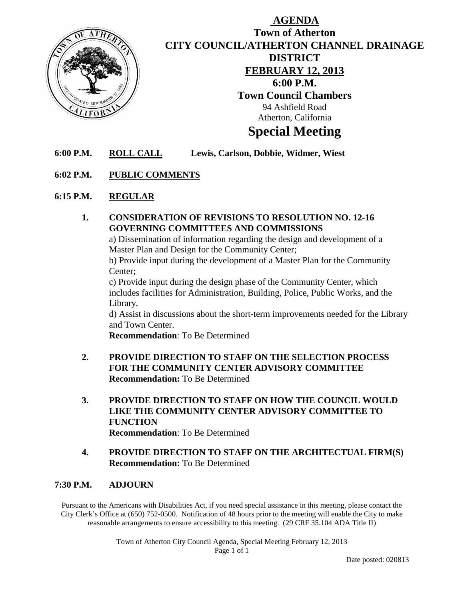

## **AGENDA Town of Atherton CITY COUNCIL/ATHERTON CHANNEL DRAINAGE DISTRICT FEBRUARY 12, 2013 6:00 P.M. Town Council Chambers** 94 Ashfield Road Atherton, California **Special Meeting**

**6:00 P.M. ROLL CALL Lewis, Carlson, Dobbie, Widmer, Wiest**

### **6:02 P.M. PUBLIC COMMENTS**

### **6:15 P.M. REGULAR**

**1. CONSIDERATION OF REVISIONS TO RESOLUTION NO. 12-16 GOVERNING COMMITTEES AND COMMISSIONS**

a) Dissemination of information regarding the design and development of a Master Plan and Design for the Community Center;

b) Provide input during the development of a Master Plan for the Community Center;

c) Provide input during the design phase of the Community Center, which includes facilities for Administration, Building, Police, Public Works, and the Library.

d) Assist in discussions about the short-term improvements needed for the Library and Town Center.

**Recommendation**: To Be Determined

- **2. PROVIDE DIRECTION TO STAFF ON THE SELECTION PROCESS FOR THE COMMUNITY CENTER ADVISORY COMMITTEE Recommendation:** To Be Determined
- **3. PROVIDE DIRECTION TO STAFF ON HOW THE COUNCIL WOULD LIKE THE COMMUNITY CENTER ADVISORY COMMITTEE TO FUNCTION Recommendation**: To Be Determined
- **4. PROVIDE DIRECTION TO STAFF ON THE ARCHITECTUAL FIRM(S) Recommendation:** To Be Determined

#### **7:30 P.M. ADJOURN**

Pursuant to the Americans with Disabilities Act, if you need special assistance in this meeting, please contact the City Clerk's Office at (650) 752-0500. Notification of 48 hours prior to the meeting will enable the City to make reasonable arrangements to ensure accessibility to this meeting. (29 CRF 35.104 ADA Title II)

> Town of Atherton City Council Agenda, Special Meeting February 12, 2013 Page 1 of 1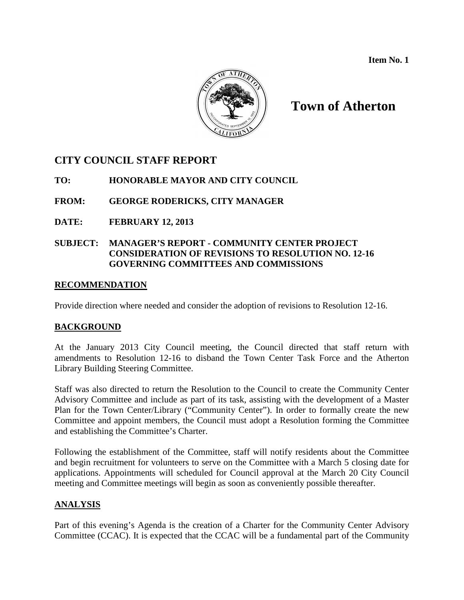**Item No. 1**



# **Town of Atherton**

## **CITY COUNCIL STAFF REPORT**

**TO: HONORABLE MAYOR AND CITY COUNCIL**

**FROM: GEORGE RODERICKS, CITY MANAGER**

**DATE: FEBRUARY 12, 2013**

### **SUBJECT: MANAGER'S REPORT - COMMUNITY CENTER PROJECT CONSIDERATION OF REVISIONS TO RESOLUTION NO. 12-16 GOVERNING COMMITTEES AND COMMISSIONS**

### **RECOMMENDATION**

Provide direction where needed and consider the adoption of revisions to Resolution 12-16.

## **BACKGROUND**

At the January 2013 City Council meeting, the Council directed that staff return with amendments to Resolution 12-16 to disband the Town Center Task Force and the Atherton Library Building Steering Committee.

Staff was also directed to return the Resolution to the Council to create the Community Center Advisory Committee and include as part of its task, assisting with the development of a Master Plan for the Town Center/Library ("Community Center"). In order to formally create the new Committee and appoint members, the Council must adopt a Resolution forming the Committee and establishing the Committee's Charter.

Following the establishment of the Committee, staff will notify residents about the Committee and begin recruitment for volunteers to serve on the Committee with a March 5 closing date for applications. Appointments will scheduled for Council approval at the March 20 City Council meeting and Committee meetings will begin as soon as conveniently possible thereafter.

## **ANALYSIS**

Part of this evening's Agenda is the creation of a Charter for the Community Center Advisory Committee (CCAC). It is expected that the CCAC will be a fundamental part of the Community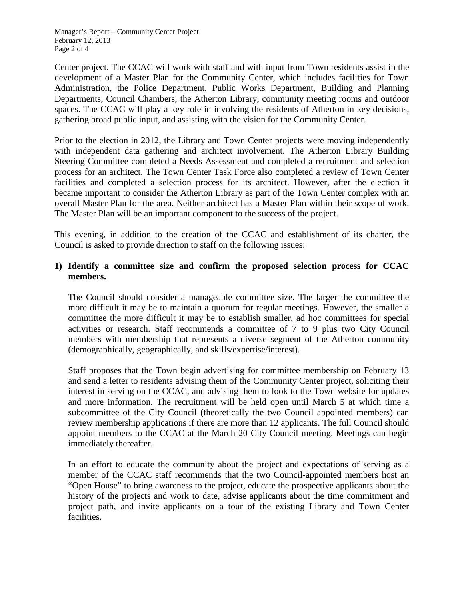Manager's Report – Community Center Project February 12, 2013 Page 2 of 4

Center project. The CCAC will work with staff and with input from Town residents assist in the development of a Master Plan for the Community Center, which includes facilities for Town Administration, the Police Department, Public Works Department, Building and Planning Departments, Council Chambers, the Atherton Library, community meeting rooms and outdoor spaces. The CCAC will play a key role in involving the residents of Atherton in key decisions, gathering broad public input, and assisting with the vision for the Community Center.

Prior to the election in 2012, the Library and Town Center projects were moving independently with independent data gathering and architect involvement. The Atherton Library Building Steering Committee completed a Needs Assessment and completed a recruitment and selection process for an architect. The Town Center Task Force also completed a review of Town Center facilities and completed a selection process for its architect. However, after the election it became important to consider the Atherton Library as part of the Town Center complex with an overall Master Plan for the area. Neither architect has a Master Plan within their scope of work. The Master Plan will be an important component to the success of the project.

This evening, in addition to the creation of the CCAC and establishment of its charter, the Council is asked to provide direction to staff on the following issues:

### **1) Identify a committee size and confirm the proposed selection process for CCAC members.**

The Council should consider a manageable committee size. The larger the committee the more difficult it may be to maintain a quorum for regular meetings. However, the smaller a committee the more difficult it may be to establish smaller, ad hoc committees for special activities or research. Staff recommends a committee of 7 to 9 plus two City Council members with membership that represents a diverse segment of the Atherton community (demographically, geographically, and skills/expertise/interest).

Staff proposes that the Town begin advertising for committee membership on February 13 and send a letter to residents advising them of the Community Center project, soliciting their interest in serving on the CCAC, and advising them to look to the Town website for updates and more information. The recruitment will be held open until March 5 at which time a subcommittee of the City Council (theoretically the two Council appointed members) can review membership applications if there are more than 12 applicants. The full Council should appoint members to the CCAC at the March 20 City Council meeting. Meetings can begin immediately thereafter.

In an effort to educate the community about the project and expectations of serving as a member of the CCAC staff recommends that the two Council-appointed members host an "Open House" to bring awareness to the project, educate the prospective applicants about the history of the projects and work to date, advise applicants about the time commitment and project path, and invite applicants on a tour of the existing Library and Town Center facilities.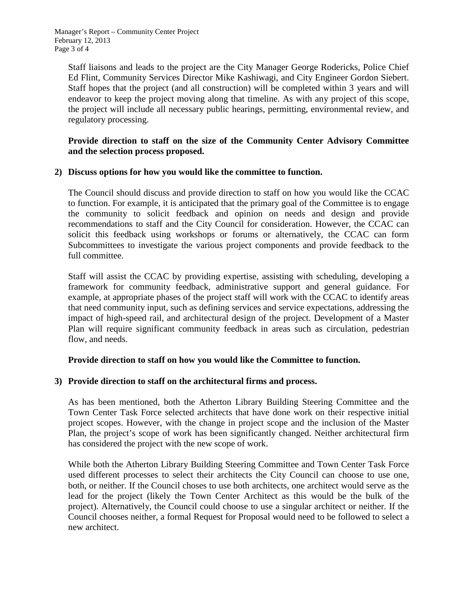Manager's Report – Community Center Project February 12, 2013 Page 3 of 4

Staff liaisons and leads to the project are the City Manager George Rodericks, Police Chief Ed Flint, Community Services Director Mike Kashiwagi, and City Engineer Gordon Siebert. Staff hopes that the project (and all construction) will be completed within 3 years and will endeavor to keep the project moving along that timeline. As with any project of this scope, the project will include all necessary public hearings, permitting, environmental review, and regulatory processing.

### **Provide direction to staff on the size of the Community Center Advisory Committee and the selection process proposed.**

### **2) Discuss options for how you would like the committee to function.**

The Council should discuss and provide direction to staff on how you would like the CCAC to function. For example, it is anticipated that the primary goal of the Committee is to engage the community to solicit feedback and opinion on needs and design and provide recommendations to staff and the City Council for consideration. However, the CCAC can solicit this feedback using workshops or forums or alternatively, the CCAC can form Subcommittees to investigate the various project components and provide feedback to the full committee.

Staff will assist the CCAC by providing expertise, assisting with scheduling, developing a framework for community feedback, administrative support and general guidance. For example, at appropriate phases of the project staff will work with the CCAC to identify areas that need community input, such as defining services and service expectations, addressing the impact of high-speed rail, and architectural design of the project. Development of a Master Plan will require significant community feedback in areas such as circulation, pedestrian flow, and needs.

### **Provide direction to staff on how you would like the Committee to function.**

### **3) Provide direction to staff on the architectural firms and process.**

As has been mentioned, both the Atherton Library Building Steering Committee and the Town Center Task Force selected architects that have done work on their respective initial project scopes. However, with the change in project scope and the inclusion of the Master Plan, the project's scope of work has been significantly changed. Neither architectural firm has considered the project with the new scope of work.

While both the Atherton Library Building Steering Committee and Town Center Task Force used different processes to select their architects the City Council can choose to use one, both, or neither. If the Council choses to use both architects, one architect would serve as the lead for the project (likely the Town Center Architect as this would be the bulk of the project). Alternatively, the Council could choose to use a singular architect or neither. If the Council chooses neither, a formal Request for Proposal would need to be followed to select a new architect.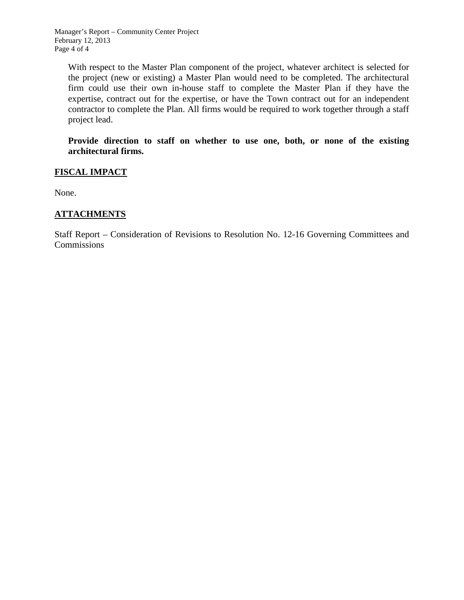Manager's Report – Community Center Project February 12, 2013 Page 4 of 4

With respect to the Master Plan component of the project, whatever architect is selected for the project (new or existing) a Master Plan would need to be completed. The architectural firm could use their own in-house staff to complete the Master Plan if they have the expertise, contract out for the expertise, or have the Town contract out for an independent contractor to complete the Plan. All firms would be required to work together through a staff project lead.

**Provide direction to staff on whether to use one, both, or none of the existing architectural firms.**

### **FISCAL IMPACT**

None.

### **ATTACHMENTS**

Staff Report – Consideration of Revisions to Resolution No. 12-16 Governing Committees and Commissions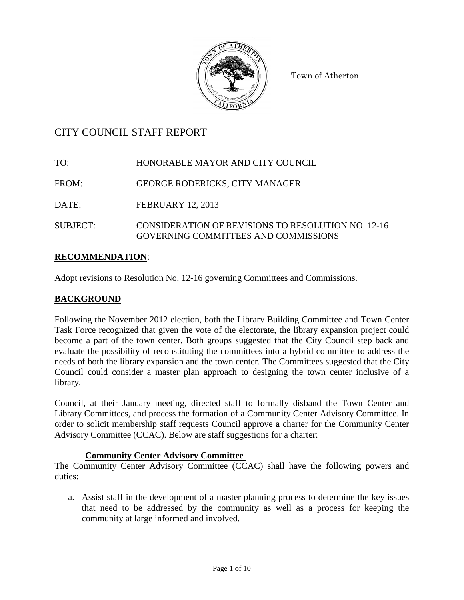

Town of Atherton

## CITY COUNCIL STAFF REPORT

TO: HONORABLE MAYOR AND CITY COUNCIL

FROM: GEORGE RODERICKS, CITY MANAGER

DATE: FEBRUARY 12, 2013

SUBJECT: CONSIDERATION OF REVISIONS TO RESOLUTION NO. 12-16 GOVERNING COMMITTEES AND COMMISSIONS

## **RECOMMENDATION**:

Adopt revisions to Resolution No. 12-16 governing Committees and Commissions.

### **BACKGROUND**

Following the November 2012 election, both the Library Building Committee and Town Center Task Force recognized that given the vote of the electorate, the library expansion project could become a part of the town center. Both groups suggested that the City Council step back and evaluate the possibility of reconstituting the committees into a hybrid committee to address the needs of both the library expansion and the town center. The Committees suggested that the City Council could consider a master plan approach to designing the town center inclusive of a library.

Council, at their January meeting, directed staff to formally disband the Town Center and Library Committees, and process the formation of a Community Center Advisory Committee. In order to solicit membership staff requests Council approve a charter for the Community Center Advisory Committee (CCAC). Below are staff suggestions for a charter:

### **Community Center Advisory Committee**

The Community Center Advisory Committee (CCAC) shall have the following powers and duties:

a. Assist staff in the development of a master planning process to determine the key issues that need to be addressed by the community as well as a process for keeping the community at large informed and involved.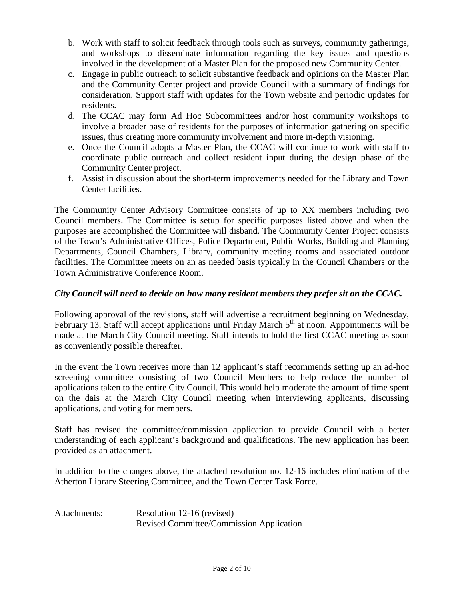- b. Work with staff to solicit feedback through tools such as surveys, community gatherings, and workshops to disseminate information regarding the key issues and questions involved in the development of a Master Plan for the proposed new Community Center.
- c. Engage in public outreach to solicit substantive feedback and opinions on the Master Plan and the Community Center project and provide Council with a summary of findings for consideration. Support staff with updates for the Town website and periodic updates for residents.
- d. The CCAC may form Ad Hoc Subcommittees and/or host community workshops to involve a broader base of residents for the purposes of information gathering on specific issues, thus creating more community involvement and more in-depth visioning.
- e. Once the Council adopts a Master Plan, the CCAC will continue to work with staff to coordinate public outreach and collect resident input during the design phase of the Community Center project.
- f. Assist in discussion about the short-term improvements needed for the Library and Town Center facilities.

The Community Center Advisory Committee consists of up to XX members including two Council members. The Committee is setup for specific purposes listed above and when the purposes are accomplished the Committee will disband. The Community Center Project consists of the Town's Administrative Offices, Police Department, Public Works, Building and Planning Departments, Council Chambers, Library, community meeting rooms and associated outdoor facilities. The Committee meets on an as needed basis typically in the Council Chambers or the Town Administrative Conference Room.

### *City Council will need to decide on how many resident members they prefer sit on the CCAC.*

Following approval of the revisions, staff will advertise a recruitment beginning on Wednesday, February 13. Staff will accept applications until Friday March  $5<sup>th</sup>$  at noon. Appointments will be made at the March City Council meeting. Staff intends to hold the first CCAC meeting as soon as conveniently possible thereafter.

In the event the Town receives more than 12 applicant's staff recommends setting up an ad-hoc screening committee consisting of two Council Members to help reduce the number of applications taken to the entire City Council. This would help moderate the amount of time spent on the dais at the March City Council meeting when interviewing applicants, discussing applications, and voting for members.

Staff has revised the committee/commission application to provide Council with a better understanding of each applicant's background and qualifications. The new application has been provided as an attachment.

In addition to the changes above, the attached resolution no. 12-16 includes elimination of the Atherton Library Steering Committee, and the Town Center Task Force.

## Attachments: Resolution 12-16 (revised) Revised Committee/Commission Application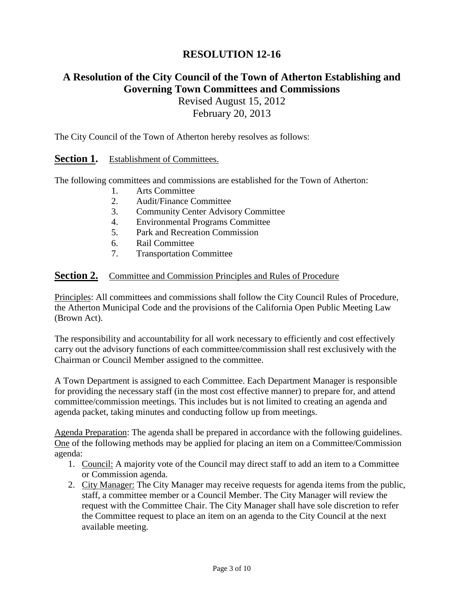## **RESOLUTION 12-16**

## **A Resolution of the City Council of the Town of Atherton Establishing and Governing Town Committees and Commissions**

Revised August 15, 2012 February 20, 2013

The City Council of the Town of Atherton hereby resolves as follows:

### **Section 1.** Establishment of Committees.

The following committees and commissions are established for the Town of Atherton:

- 1. Arts Committee
- 2. Audit/Finance Committee
- 3. Community Center Advisory Committee
- 4. Environmental Programs Committee
- 5. Park and Recreation Commission
- 6. Rail Committee
- 7. Transportation Committee

#### **Section 2.** Committee and Commission Principles and Rules of Procedure

Principles: All committees and commissions shall follow the City Council Rules of Procedure, the Atherton Municipal Code and the provisions of the California Open Public Meeting Law (Brown Act).

The responsibility and accountability for all work necessary to efficiently and cost effectively carry out the advisory functions of each committee/commission shall rest exclusively with the Chairman or Council Member assigned to the committee.

A Town Department is assigned to each Committee. Each Department Manager is responsible for providing the necessary staff (in the most cost effective manner) to prepare for, and attend committee/commission meetings. This includes but is not limited to creating an agenda and agenda packet, taking minutes and conducting follow up from meetings.

Agenda Preparation: The agenda shall be prepared in accordance with the following guidelines. One of the following methods may be applied for placing an item on a Committee/Commission agenda:

- 1. Council: A majority vote of the Council may direct staff to add an item to a Committee or Commission agenda.
- 2. City Manager: The City Manager may receive requests for agenda items from the public, staff, a committee member or a Council Member. The City Manager will review the request with the Committee Chair. The City Manager shall have sole discretion to refer the Committee request to place an item on an agenda to the City Council at the next available meeting.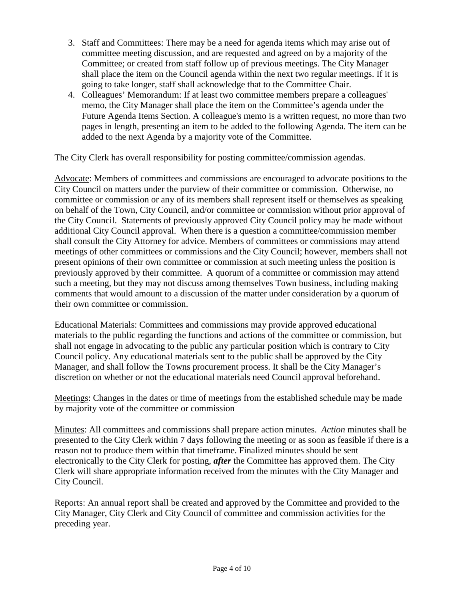- 3. Staff and Committees: There may be a need for agenda items which may arise out of committee meeting discussion, and are requested and agreed on by a majority of the Committee; or created from staff follow up of previous meetings. The City Manager shall place the item on the Council agenda within the next two regular meetings. If it is going to take longer, staff shall acknowledge that to the Committee Chair.
- 4. Colleagues' Memorandum: If at least two committee members prepare a colleagues' memo, the City Manager shall place the item on the Committee's agenda under the Future Agenda Items Section. A colleague's memo is a written request, no more than two pages in length, presenting an item to be added to the following Agenda. The item can be added to the next Agenda by a majority vote of the Committee.

The City Clerk has overall responsibility for posting committee/commission agendas.

Advocate: Members of committees and commissions are encouraged to advocate positions to the City Council on matters under the purview of their committee or commission. Otherwise, no committee or commission or any of its members shall represent itself or themselves as speaking on behalf of the Town, City Council, and/or committee or commission without prior approval of the City Council. Statements of previously approved City Council policy may be made without additional City Council approval. When there is a question a committee/commission member shall consult the City Attorney for advice. Members of committees or commissions may attend meetings of other committees or commissions and the City Council; however, members shall not present opinions of their own committee or commission at such meeting unless the position is previously approved by their committee. A quorum of a committee or commission may attend such a meeting, but they may not discuss among themselves Town business, including making comments that would amount to a discussion of the matter under consideration by a quorum of their own committee or commission.

Educational Materials: Committees and commissions may provide approved educational materials to the public regarding the functions and actions of the committee or commission, but shall not engage in advocating to the public any particular position which is contrary to City Council policy. Any educational materials sent to the public shall be approved by the City Manager, and shall follow the Towns procurement process. It shall be the City Manager's discretion on whether or not the educational materials need Council approval beforehand.

Meetings: Changes in the dates or time of meetings from the established schedule may be made by majority vote of the committee or commission

Minutes: All committees and commissions shall prepare action minutes. *Action* minutes shall be presented to the City Clerk within 7 days following the meeting or as soon as feasible if there is a reason not to produce them within that timeframe. Finalized minutes should be sent electronically to the City Clerk for posting, *after* the Committee has approved them. The City Clerk will share appropriate information received from the minutes with the City Manager and City Council.

Reports: An annual report shall be created and approved by the Committee and provided to the City Manager, City Clerk and City Council of committee and commission activities for the preceding year.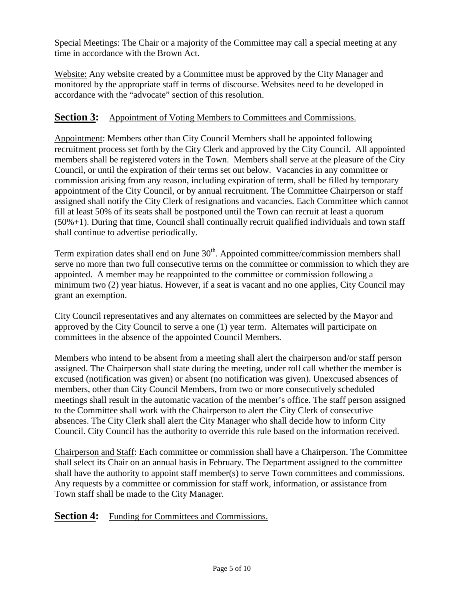Special Meetings: The Chair or a majority of the Committee may call a special meeting at any time in accordance with the Brown Act.

Website: Any website created by a Committee must be approved by the City Manager and monitored by the appropriate staff in terms of discourse. Websites need to be developed in accordance with the "advocate" section of this resolution.

## **Section 3:** Appointment of Voting Members to Committees and Commissions.

Appointment: Members other than City Council Members shall be appointed following recruitment process set forth by the City Clerk and approved by the City Council. All appointed members shall be registered voters in the Town. Members shall serve at the pleasure of the City Council, or until the expiration of their terms set out below. Vacancies in any committee or commission arising from any reason, including expiration of term, shall be filled by temporary appointment of the City Council, or by annual recruitment. The Committee Chairperson or staff assigned shall notify the City Clerk of resignations and vacancies. Each Committee which cannot fill at least 50% of its seats shall be postponed until the Town can recruit at least a quorum (50%+1). During that time, Council shall continually recruit qualified individuals and town staff shall continue to advertise periodically.

Term expiration dates shall end on June  $30<sup>th</sup>$ . Appointed committee/commission members shall serve no more than two full consecutive terms on the committee or commission to which they are appointed. A member may be reappointed to the committee or commission following a minimum two (2) year hiatus. However, if a seat is vacant and no one applies, City Council may grant an exemption.

City Council representatives and any alternates on committees are selected by the Mayor and approved by the City Council to serve a one (1) year term. Alternates will participate on committees in the absence of the appointed Council Members.

Members who intend to be absent from a meeting shall alert the chairperson and/or staff person assigned. The Chairperson shall state during the meeting, under roll call whether the member is excused (notification was given) or absent (no notification was given). Unexcused absences of members, other than City Council Members, from two or more consecutively scheduled meetings shall result in the automatic vacation of the member's office. The staff person assigned to the Committee shall work with the Chairperson to alert the City Clerk of consecutive absences. The City Clerk shall alert the City Manager who shall decide how to inform City Council. City Council has the authority to override this rule based on the information received.

Chairperson and Staff: Each committee or commission shall have a Chairperson. The Committee shall select its Chair on an annual basis in February. The Department assigned to the committee shall have the authority to appoint staff member(s) to serve Town committees and commissions. Any requests by a committee or commission for staff work, information, or assistance from Town staff shall be made to the City Manager.

## **Section 4:** Funding for Committees and Commissions.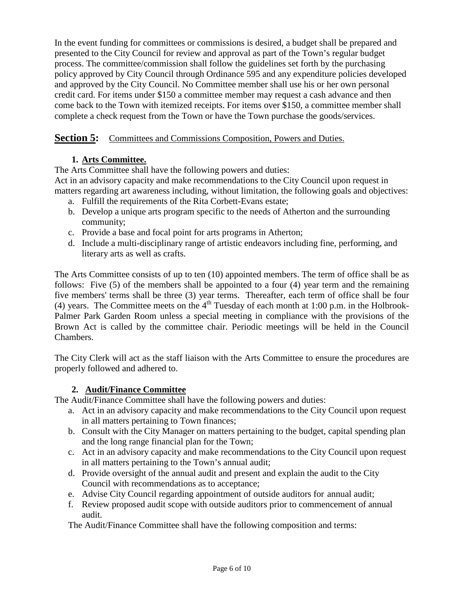In the event funding for committees or commissions is desired, a budget shall be prepared and presented to the City Council for review and approval as part of the Town's regular budget process. The committee/commission shall follow the guidelines set forth by the purchasing policy approved by City Council through Ordinance 595 and any expenditure policies developed and approved by the City Council. No Committee member shall use his or her own personal credit card. For items under \$150 a committee member may request a cash advance and then come back to the Town with itemized receipts. For items over \$150, a committee member shall complete a check request from the Town or have the Town purchase the goods/services.

## **Section 5:** Committees and Commissions Composition, Powers and Duties.

## **1. Arts Committee.**

The Arts Committee shall have the following powers and duties:

Act in an advisory capacity and make recommendations to the City Council upon request in matters regarding art awareness including, without limitation, the following goals and objectives:

- a. Fulfill the requirements of the Rita Corbett-Evans estate;
- b. Develop a unique arts program specific to the needs of Atherton and the surrounding community;
- c. Provide a base and focal point for arts programs in Atherton;
- d. Include a multi-disciplinary range of artistic endeavors including fine, performing, and literary arts as well as crafts.

The Arts Committee consists of up to ten (10) appointed members. The term of office shall be as follows: Five (5) of the members shall be appointed to a four (4) year term and the remaining five members' terms shall be three (3) year terms. Thereafter, each term of office shall be four (4) years. The Committee meets on the  $4<sup>th</sup>$  Tuesday of each month at 1:00 p.m. in the Holbrook-Palmer Park Garden Room unless a special meeting in compliance with the provisions of the Brown Act is called by the committee chair. Periodic meetings will be held in the Council Chambers.

The City Clerk will act as the staff liaison with the Arts Committee to ensure the procedures are properly followed and adhered to.

### **2. Audit/Finance Committee**

The Audit/Finance Committee shall have the following powers and duties:

- a. Act in an advisory capacity and make recommendations to the City Council upon request in all matters pertaining to Town finances;
- b. Consult with the City Manager on matters pertaining to the budget, capital spending plan and the long range financial plan for the Town;
- c. Act in an advisory capacity and make recommendations to the City Council upon request in all matters pertaining to the Town's annual audit;
- d. Provide oversight of the annual audit and present and explain the audit to the City Council with recommendations as to acceptance;
- e. Advise City Council regarding appointment of outside auditors for annual audit;
- f. Review proposed audit scope with outside auditors prior to commencement of annual audit.

The Audit/Finance Committee shall have the following composition and terms: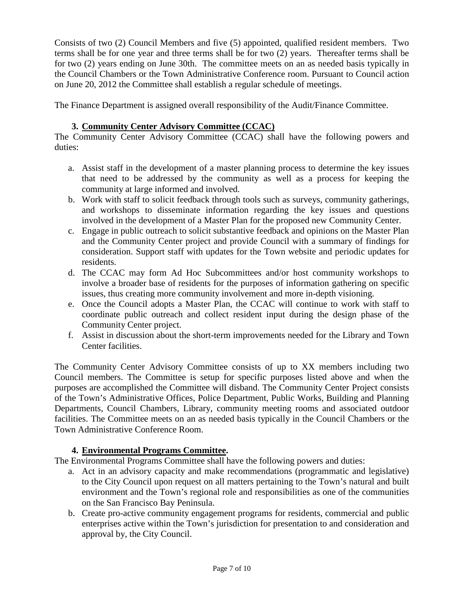Consists of two (2) Council Members and five (5) appointed, qualified resident members. Two terms shall be for one year and three terms shall be for two (2) years. Thereafter terms shall be for two (2) years ending on June 30th. The committee meets on an as needed basis typically in the Council Chambers or the Town Administrative Conference room. Pursuant to Council action on June 20, 2012 the Committee shall establish a regular schedule of meetings.

The Finance Department is assigned overall responsibility of the Audit/Finance Committee.

### **3. Community Center Advisory Committee (CCAC)**

The Community Center Advisory Committee (CCAC) shall have the following powers and duties:

- a. Assist staff in the development of a master planning process to determine the key issues that need to be addressed by the community as well as a process for keeping the community at large informed and involved.
- b. Work with staff to solicit feedback through tools such as surveys, community gatherings, and workshops to disseminate information regarding the key issues and questions involved in the development of a Master Plan for the proposed new Community Center.
- c. Engage in public outreach to solicit substantive feedback and opinions on the Master Plan and the Community Center project and provide Council with a summary of findings for consideration. Support staff with updates for the Town website and periodic updates for residents.
- d. The CCAC may form Ad Hoc Subcommittees and/or host community workshops to involve a broader base of residents for the purposes of information gathering on specific issues, thus creating more community involvement and more in-depth visioning.
- e. Once the Council adopts a Master Plan, the CCAC will continue to work with staff to coordinate public outreach and collect resident input during the design phase of the Community Center project.
- f. Assist in discussion about the short-term improvements needed for the Library and Town Center facilities.

The Community Center Advisory Committee consists of up to XX members including two Council members. The Committee is setup for specific purposes listed above and when the purposes are accomplished the Committee will disband. The Community Center Project consists of the Town's Administrative Offices, Police Department, Public Works, Building and Planning Departments, Council Chambers, Library, community meeting rooms and associated outdoor facilities. The Committee meets on an as needed basis typically in the Council Chambers or the Town Administrative Conference Room.

### **4. Environmental Programs Committee.**

The Environmental Programs Committee shall have the following powers and duties:

- a. Act in an advisory capacity and make recommendations (programmatic and legislative) to the City Council upon request on all matters pertaining to the Town's natural and built environment and the Town's regional role and responsibilities as one of the communities on the San Francisco Bay Peninsula.
- b. Create pro-active community engagement programs for residents, commercial and public enterprises active within the Town's jurisdiction for presentation to and consideration and approval by, the City Council.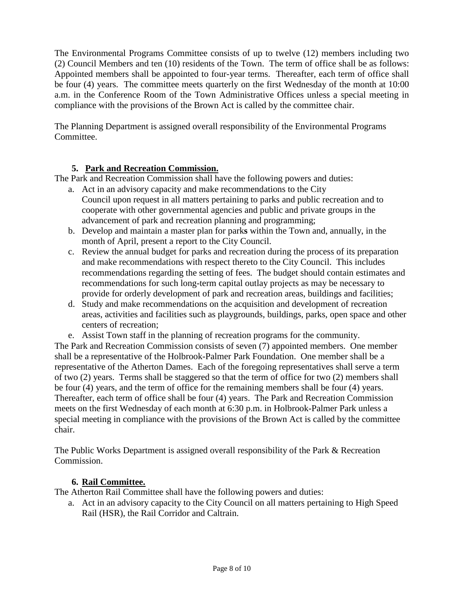The Environmental Programs Committee consists of up to twelve (12) members including two (2) Council Members and ten (10) residents of the Town. The term of office shall be as follows: Appointed members shall be appointed to four-year terms. Thereafter, each term of office shall be four (4) years. The committee meets quarterly on the first Wednesday of the month at 10:00 a.m. in the Conference Room of the Town Administrative Offices unless a special meeting in compliance with the provisions of the Brown Act is called by the committee chair.

The Planning Department is assigned overall responsibility of the Environmental Programs Committee.

### **5. Park and Recreation Commission.**

The Park and Recreation Commission shall have the following powers and duties:

- a. Act in an advisory capacity and make recommendations to the City Council upon request in all matters pertaining to parks and public recreation and to cooperate with other governmental agencies and public and private groups in the advancement of park and recreation planning and programming;
- b. Develop and maintain a master plan for park**s** within the Town and, annually, in the month of April, present a report to the City Council.
- c. Review the annual budget for parks and recreation during the process of its preparation and make recommendations with respect thereto to the City Council. This includes recommendations regarding the setting of fees.The budget should contain estimates and recommendations for such long-term capital outlay projects as may be necessary to provide for orderly development of park and recreation areas, buildings and facilities;
- d. Study and make recommendations on the acquisition and development of recreation areas, activities and facilities such as playgrounds, buildings, parks, open space and other centers of recreation;
- e. Assist Town staff in the planning of recreation programs for the community.

The Park and Recreation Commission consists of seven (7) appointed members. One member shall be a representative of the Holbrook-Palmer Park Foundation. One member shall be a representative of the Atherton Dames. Each of the foregoing representatives shall serve a term of two (2) years. Terms shall be staggered so that the term of office for two (2) members shall be four (4) years, and the term of office for the remaining members shall be four (4) years. Thereafter, each term of office shall be four (4) years. The Park and Recreation Commission meets on the first Wednesday of each month at 6:30 p.m. in Holbrook-Palmer Park unless a special meeting in compliance with the provisions of the Brown Act is called by the committee chair.

The Public Works Department is assigned overall responsibility of the Park & Recreation Commission.

### **6. Rail Committee.**

The Atherton Rail Committee shall have the following powers and duties:

a. Act in an advisory capacity to the City Council on all matters pertaining to High Speed Rail (HSR), the Rail Corridor and Caltrain.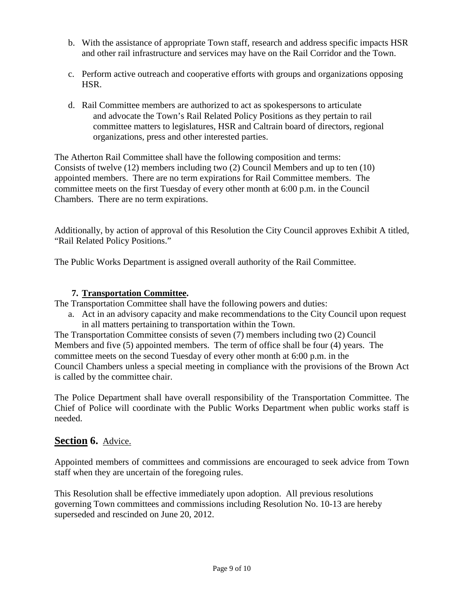- b. With the assistance of appropriate Town staff, research and address specific impacts HSR and other rail infrastructure and services may have on the Rail Corridor and the Town.
- c. Perform active outreach and cooperative efforts with groups and organizations opposing HSR.
- d. Rail Committee members are authorized to act as spokespersons to articulate and advocate the Town's Rail Related Policy Positions as they pertain to rail committee matters to legislatures, HSR and Caltrain board of directors, regional organizations, press and other interested parties.

The Atherton Rail Committee shall have the following composition and terms: Consists of twelve (12) members including two (2) Council Members and up to ten (10) appointed members. There are no term expirations for Rail Committee members. The committee meets on the first Tuesday of every other month at 6:00 p.m. in the Council Chambers. There are no term expirations.

Additionally, by action of approval of this Resolution the City Council approves Exhibit A titled, "Rail Related Policy Positions."

The Public Works Department is assigned overall authority of the Rail Committee.

### **7. Transportation Committee.**

The Transportation Committee shall have the following powers and duties:

a. Act in an advisory capacity and make recommendations to the City Council upon request in all matters pertaining to transportation within the Town.

The Transportation Committee consists of seven (7) members including two (2) Council Members and five (5) appointed members. The term of office shall be four (4) years. The committee meets on the second Tuesday of every other month at 6:00 p.m. in the Council Chambers unless a special meeting in compliance with the provisions of the Brown Act is called by the committee chair.

The Police Department shall have overall responsibility of the Transportation Committee. The Chief of Police will coordinate with the Public Works Department when public works staff is needed.

## **Section 6.** Advice.

Appointed members of committees and commissions are encouraged to seek advice from Town staff when they are uncertain of the foregoing rules.

This Resolution shall be effective immediately upon adoption. All previous resolutions governing Town committees and commissions including Resolution No. 10-13 are hereby superseded and rescinded on June 20, 2012.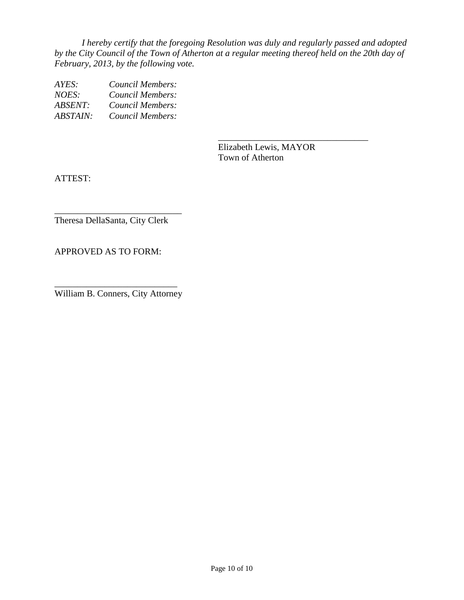*I hereby certify that the foregoing Resolution was duly and regularly passed and adopted by the City Council of the Town of Atherton at a regular meeting thereof held on the 20th day of February, 2013, by the following vote.*

*AYES: Council Members: NOES: Council Members: ABSENT: Council Members: ABSTAIN: Council Members:*

> Elizabeth Lewis, MAYOR Town of Atherton

\_\_\_\_\_\_\_\_\_\_\_\_\_\_\_\_\_\_\_\_\_\_\_\_\_\_\_\_\_\_\_\_\_

ATTEST:

\_\_\_\_\_\_\_\_\_\_\_\_\_\_\_\_\_\_\_\_\_\_\_\_\_\_\_\_ Theresa DellaSanta, City Clerk

APPROVED AS TO FORM:

\_\_\_\_\_\_\_\_\_\_\_\_\_\_\_\_\_\_\_\_\_\_\_\_\_\_\_ William B. Conners, City Attorney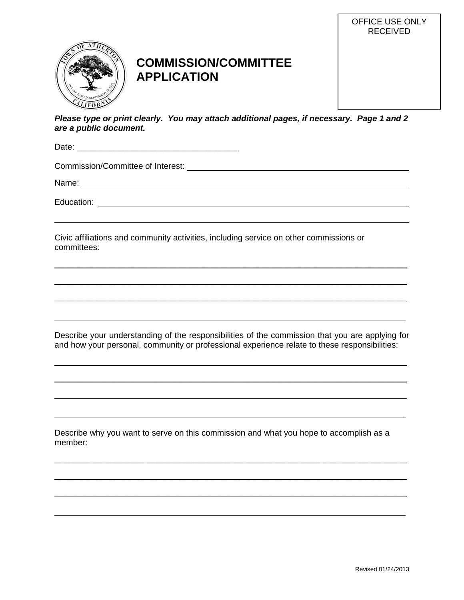

# **COMMISSION/COMMITTEE APPLICATION**



Date: \_\_\_\_\_\_\_\_\_\_\_\_\_\_\_\_\_\_\_\_\_\_\_\_\_\_\_\_\_\_\_\_\_\_\_

Commission/Committee of Interest:

Name: Name: Name: Name: Name: Name: Name: Name: Name: Name: Name: Name: Name: Name: Name: Name: Name: Name: Name: Name: Name: Name: Name: Name: Name: Name: Name: Name: Name: Name: Name: Name: Name: Name: Name: Name: Name:

Education:

Civic affiliations and community activities, including service on other commissions or committees:

Describe your understanding of the responsibilities of the commission that you are applying for and how your personal, community or professional experience relate to these responsibilities:

 $\overline{\phantom{a}}$  , and the contribution of the contribution of the contribution of the contribution of the contribution of the contribution of the contribution of the contribution of the contribution of the contribution of the

 $\mathcal{L}_\text{max}$  , and the contribution of the contribution of the contribution of the contribution of the contribution of the contribution of the contribution of the contribution of the contribution of the contribution of t

\_\_\_\_\_\_\_\_\_\_\_\_\_\_\_\_\_\_\_\_\_\_\_\_\_\_\_\_\_\_\_\_\_\_\_\_\_\_\_\_\_\_\_\_\_\_\_\_\_\_\_\_\_\_\_\_\_\_\_\_\_\_\_\_\_\_\_\_\_\_\_\_\_\_\_\_

 $\overline{\phantom{a}}$  , and the contribution of the contribution of the contribution of the contribution of the contribution of the contribution of the contribution of the contribution of the contribution of the contribution of the

 $\overline{\phantom{a}}$  , and the contribution of the contribution of the contribution of the contribution of the contribution of the contribution of the contribution of the contribution of the contribution of the contribution of the

 $\mathcal{L}_\text{max}$  , and the contribution of the contribution of the contribution of the contribution of the contribution of the contribution of the contribution of the contribution of the contribution of the contribution of t

Describe why you want to serve on this commission and what you hope to accomplish as a member:

 $\mathcal{L}_\text{max}$  and  $\mathcal{L}_\text{max}$  and  $\mathcal{L}_\text{max}$  and  $\mathcal{L}_\text{max}$  and  $\mathcal{L}_\text{max}$  and  $\mathcal{L}_\text{max}$ 

 $\overline{\phantom{a}}$  , and the contribution of the contribution of the contribution of the contribution of the contribution of the contribution of the contribution of the contribution of the contribution of the contribution of the

 $\mathcal{L}_\text{max}$  , and the contribution of the contribution of the contribution of the contribution of the contribution of the contribution of the contribution of the contribution of the contribution of the contribution of t

OFFICE USE ONLY RECEIVED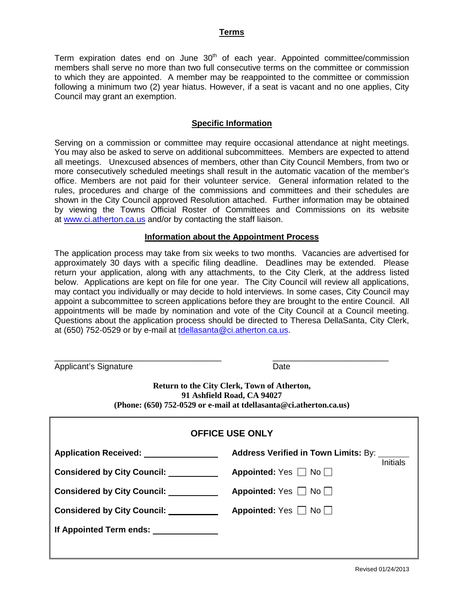#### **Terms**

Term expiration dates end on June  $30<sup>th</sup>$  of each year. Appointed committee/commission members shall serve no more than two full consecutive terms on the committee or commission to which they are appointed. A member may be reappointed to the committee or commission following a minimum two (2) year hiatus. However, if a seat is vacant and no one applies, City Council may grant an exemption.

#### **Specific Information**

Serving on a commission or committee may require occasional attendance at night meetings. You may also be asked to serve on additional subcommittees. Members are expected to attend all meetings. Unexcused absences of members, other than City Council Members, from two or more consecutively scheduled meetings shall result in the automatic vacation of the member's office. Members are not paid for their volunteer service. General information related to the rules, procedures and charge of the commissions and committees and their schedules are shown in the City Council approved Resolution attached. Further information may be obtained by viewing the Towns Official Roster of Committees and Commissions on its website at [www.ci.atherton.ca.us](http://www.ci.atherton.ca.us/) and/or by contacting the staff liaison.

#### **Information about the Appointment Process**

The application process may take from six weeks to two months. Vacancies are advertised for approximately 30 days with a specific filing deadline. Deadlines may be extended. Please return your application, along with any attachments, to the City Clerk, at the address listed below. Applications are kept on file for one year. The City Council will review all applications, may contact you individually or may decide to hold interviews. In some cases, City Council may appoint a subcommittee to screen applications before they are brought to the entire Council. All appointments will be made by nomination and vote of the City Council at a Council meeting. Questions about the application process should be directed to Theresa DellaSanta, City Clerk, at (650) 752-0529 or by e-mail at [tdellasanta@ci.atherton.ca.us.](mailto:tdellasanta@ci.atherton.ca.us)

\_\_\_\_\_\_\_\_\_\_\_\_\_\_\_\_\_\_\_\_\_\_\_\_\_\_\_\_\_\_\_\_\_\_\_\_ \_\_\_\_\_\_\_\_\_\_\_\_\_\_\_\_\_\_\_\_\_\_\_\_\_ Applicant's Signature Date

**Return to the City Clerk, Town of Atherton, 91 Ashfield Road, CA 94027 (Phone: (650) 752-0529 or e-mail at tdellasanta@ci.atherton.ca.us)**

| <b>OFFICE USE ONLY</b>                  |                                                  |  |  |
|-----------------------------------------|--------------------------------------------------|--|--|
| <b>Application Received:</b>            | <b>Address Verified in Town Limits: By:</b>      |  |  |
| <b>Considered by City Council:</b>      | <b>Initials</b><br>Appointed: $Yes \Box No \Box$ |  |  |
| <b>Considered by City Council:</b>      | Appointed: Yes $\Box$ No $\Box$                  |  |  |
| <b>Considered by City Council:</b>      | Appointed: Yes □ No                              |  |  |
| If Appointed Term ends: _______________ |                                                  |  |  |
|                                         |                                                  |  |  |